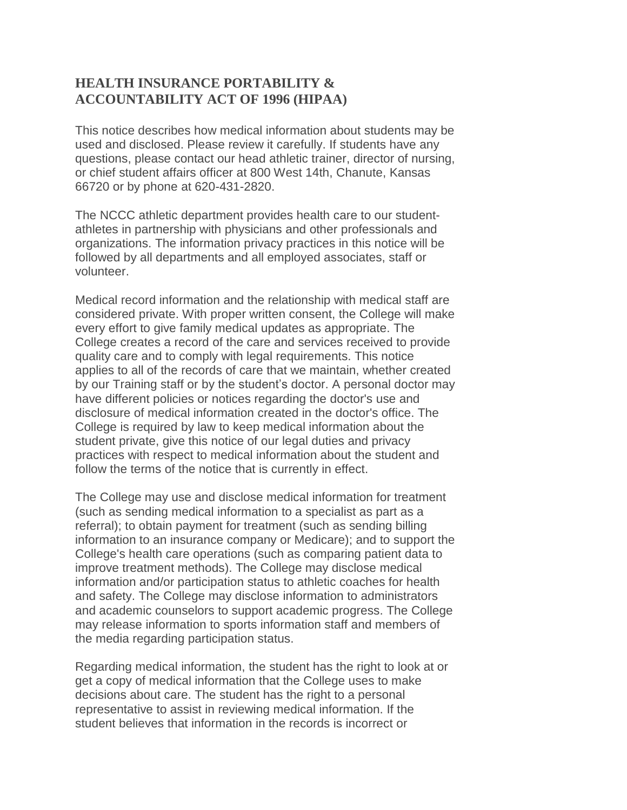## **HEALTH INSURANCE PORTABILITY & ACCOUNTABILITY ACT OF 1996 (HIPAA)**

This notice describes how medical information about students may be used and disclosed. Please review it carefully. If students have any questions, please contact our head athletic trainer, director of nursing, or chief student affairs officer at 800 West 14th, Chanute, Kansas 66720 or by phone at 620-431-2820.

The NCCC athletic department provides health care to our studentathletes in partnership with physicians and other professionals and organizations. The information privacy practices in this notice will be followed by all departments and all employed associates, staff or volunteer.

Medical record information and the relationship with medical staff are considered private. With proper written consent, the College will make every effort to give family medical updates as appropriate. The College creates a record of the care and services received to provide quality care and to comply with legal requirements. This notice applies to all of the records of care that we maintain, whether created by our Training staff or by the student's doctor. A personal doctor may have different policies or notices regarding the doctor's use and disclosure of medical information created in the doctor's office. The College is required by law to keep medical information about the student private, give this notice of our legal duties and privacy practices with respect to medical information about the student and follow the terms of the notice that is currently in effect.

The College may use and disclose medical information for treatment (such as sending medical information to a specialist as part as a referral); to obtain payment for treatment (such as sending billing information to an insurance company or Medicare); and to support the College's health care operations (such as comparing patient data to improve treatment methods). The College may disclose medical information and/or participation status to athletic coaches for health and safety. The College may disclose information to administrators and academic counselors to support academic progress. The College may release information to sports information staff and members of the media regarding participation status.

Regarding medical information, the student has the right to look at or get a copy of medical information that the College uses to make decisions about care. The student has the right to a personal representative to assist in reviewing medical information. If the student believes that information in the records is incorrect or